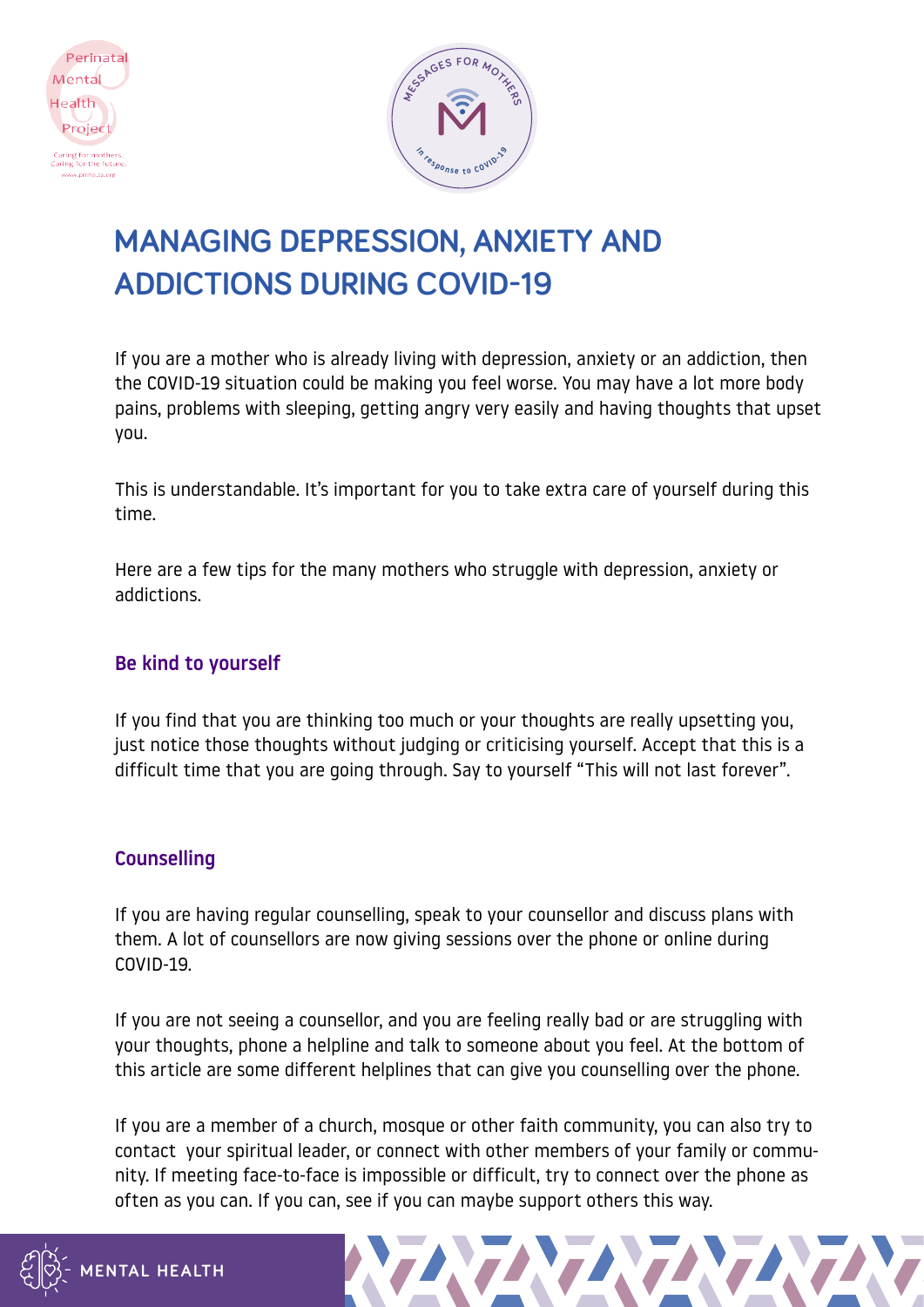



# **MANAGING DEPRESSION, ANXIETY AND ADDICTIONS DURING COVID-19**

If you are a mother who is already living with depression, anxiety or an addiction, then the COVID-19 situation could be making you feel worse. You may have a lot more body pains, problems with sleeping, getting angry very easily and having thoughts that upset you.

This is understandable. It's important for you to take extra care of yourself during this time.

Here are a few tips for the many mothers who struggle with depression, anxiety or addictions.

### Be kind to yourself

If you find that you are thinking too much or your thoughts are really upsetting you, just notice those thoughts without judging or criticising yourself. Accept that this is a difficult time that you are going through. Say to yourself "This will not last forever".

#### **Counselling**

If you are having regular counselling, speak to your counsellor and discuss plans with them. A lot of counsellors are now giving sessions over the phone or online during COVID-19.

If you are not seeing a counsellor, and you are feeling really bad or are struggling with your thoughts, phone a helpline and talk to someone about you feel. At the bottom of this article are some different helplines that can give you counselling over the phone.

If you are a member of a church, mosque or other faith community, you can also try to contact your spiritual leader, or connect with other members of your family or community. If meeting face-to-face is impossible or difficult, try to connect over the phone as often as you can. If you can, see if you can maybe support others this way.

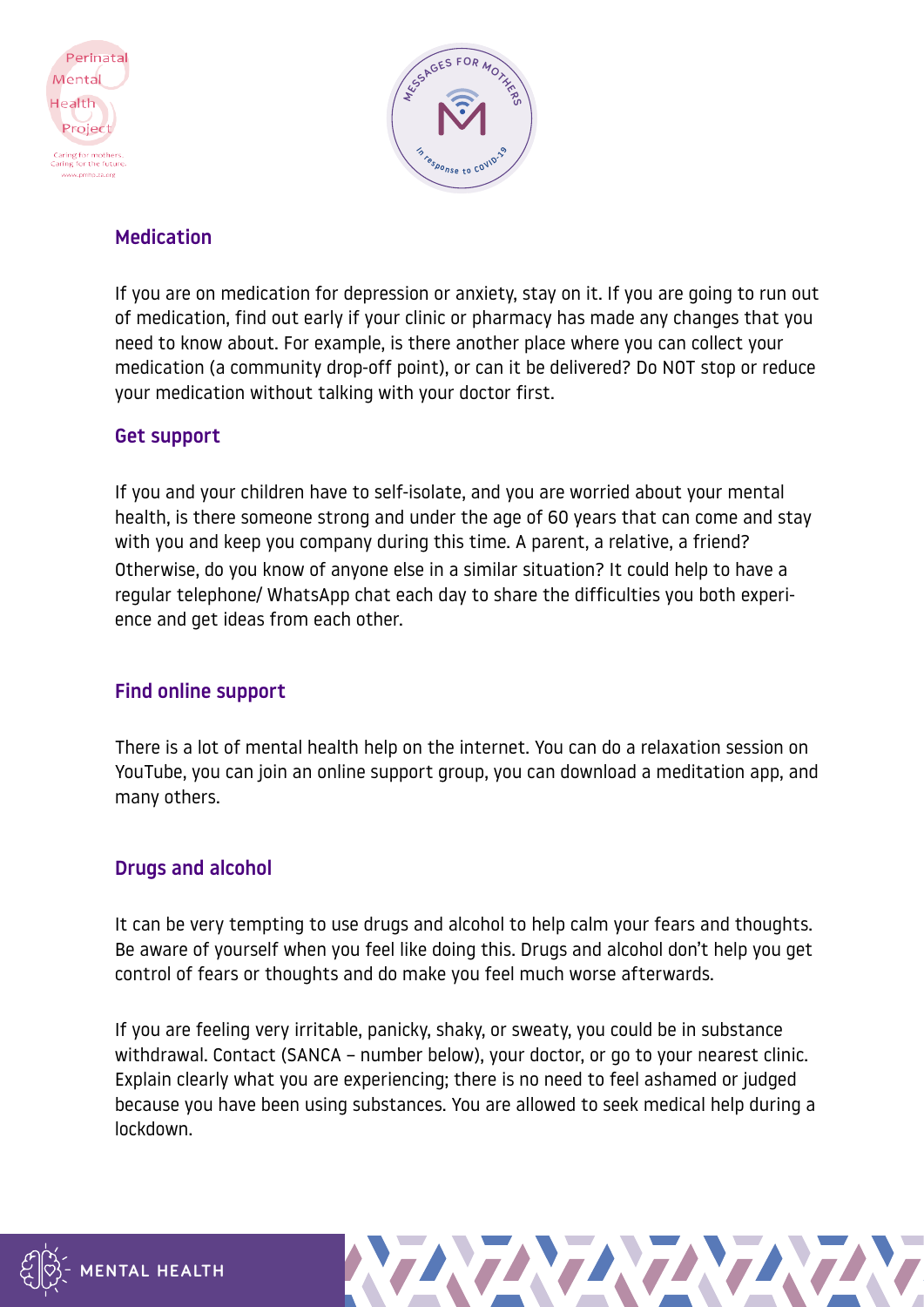



## Medication

If you are on medication for depression or anxiety, stay on it. If you are going to run out of medication, find out early if your clinic or pharmacy has made any changes that you need to know about. For example, is there another place where you can collect your medication (a community drop-off point), or can it be delivered? Do NOT stop or reduce your medication without talking with your doctor first.

#### Get support

If you and your children have to self-isolate, and you are worried about your mental health, is there someone strong and under the age of 60 years that can come and stay with you and keep you company during this time. A parent, a relative, a friend? Otherwise, do you know of anyone else in a similar situation? It could help to have a regular telephone/ WhatsApp chat each day to share the difficulties you both experience and get ideas from each other.

#### Find online support

There is a lot of mental health help on the internet. You can do a relaxation session on YouTube, you can join an online support group, you can download a meditation app, and many others.

## Drugs and alcohol

It can be very tempting to use drugs and alcohol to help calm your fears and thoughts. Be aware of yourself when you feel like doing this. Drugs and alcohol don't help you get control of fears or thoughts and do make you feel much worse afterwards.

If you are feeling very irritable, panicky, shaky, or sweaty, you could be in substance withdrawal. Contact (SANCA – number below), your doctor, or go to your nearest clinic. Explain clearly what you are experiencing; there is no need to feel ashamed or judged because you have been using substances. You are allowed to seek medical help during a lockdown.